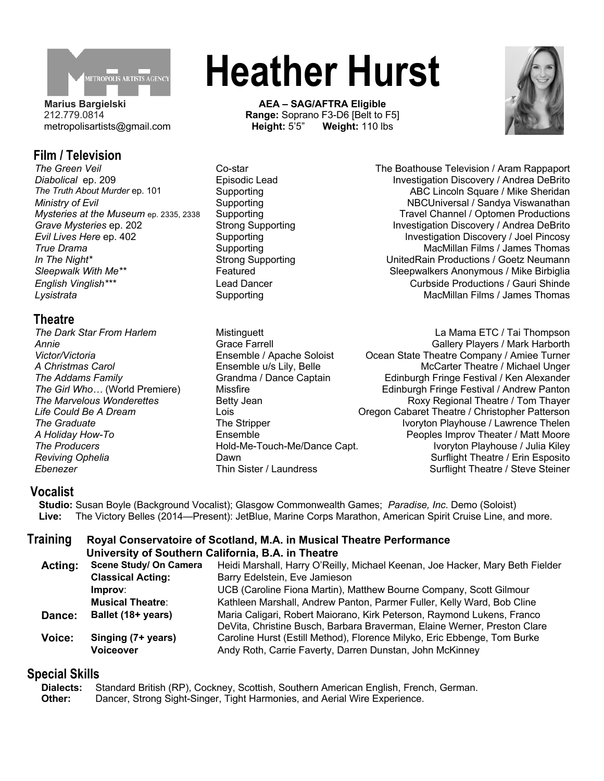

**Marius Bargielski** 212.779.0814 metropolisartists@gmail.com

## **Film / Television**

#### **Theatre**

**The Producers Hold-Me-Touch-Me/Dance Capt. I** 

# **Heather Hurst**

**AEA – SAG/AFTRA Eligible Range: Soprano F3-D6 [Belt to F5]**<br>**Height: 5'5" Weight: 110 lbs Weight: 110 lbs** 



*The Green Veil* Co-star The Boathouse Television / Aram Rappaport *Diabolical* ep. 209 **Episodic Lead** Investigation Discovery / Andrea DeBrito **Investigation Discovery / Andrea DeBrito**<br>The Truth About Murder ep. 101 Supporting **Supporting** ABC Lincoln Square / Mike Sheridan **The Truth About Murder** About Murder<sub>1</sub> Supporting ABC Lincoln Square / Mike Sheridan *Ministry of Evil* Supporting NBCUniversal / Sandya Viswanathan *Mysteries at the Museum* ep. 2335, 2338 Supporting Travel Channel / Optomen Productions *Grave Mysteries* ep. 202 Strong Supporting Investigation Discovery / Andrea DeBrito *Evil Lives Here* ep. 402 Supporting Investigation Discovery / Joel Pincosy **True Drama** True Supporting MacMillan Films / James Thomas Supporting MacMillan Films / James Thomas *In The Night\**<br>Strong Supporting and UnitedRain Productions / Goetz Neumann<br>Sleepwalk With Me<sup>\*\*</sup> Featured Featured and Sleepwalkers Anonymous / Mike Birbiglia Featured **Featured** Sleepwalkers Anonymous / Mike Birbiglia *English Vinglish\*\*\** Lead Dancer Curbside Productions / Gauri Shinde **Lysistrata MacMillan Films / James Thomas** Supporting **MacMillan Films / James Thomas** 

**The Dark Star From Harlem Mistinguett** La Mama ETC / Tai Thompson **La Mama ETC / Tai Thompson Annie Grace Farrell Grace Farrell** Grace Farrell **Gallery Players / Mark Harborth** *Victor/Victoria* Ensemble / Apache Soloist Ocean State Theatre Company / Amiee Turner A Christmas Carol **Example u/s Lily, Belle** Michael McCarter Theatre / Michael Unger *The Addams Family* **Grandma / Dance Captain Fringe Festival / Ken Alexander Conditional Condition**<br>The Girl Who... (World Premiere) Missfire **Misstire** Edinburgh Fringe Festival / Andrew Panton **The Girl Missfire Communist Communist Premiere Festival / Andrew Panton The Marvelous Wonderettes Betty Jean** Betty Jean **Roxy Regional Theatre / Tom Thayer** *Life Could Be A Dream* Lois Oregon Cabaret Theatre / Christopher Patterson **The Stripper Ivoryton Playhouse** / Lawrence Thelen *A Holiday How-To*<br>Ensemble Fouch-Me/Dance Capt. Peoples Improv Theater / Matt Moore<br>Ivoryton Playhouse / Julia Kiley **Reviving Ophelia Dawn Community Community Dawn Community Community Community Community Community Community Community Community Community Community Community Community Community Community Community Community Commun Ebenezer** Thin Sister / Laundress Surflight Theatre / Steve Steiner

#### **Vocalist**

**Studio:** Susan Boyle (Background Vocalist); Glasgow Commonwealth Games; *Paradise, Inc*. Demo (Soloist) **Live:** The Victory Belles (2014—Present): JetBlue, Marine Corps Marathon, American Spirit Cruise Line, and more.

#### **Training Royal Conservatoire of Scotland, M.A. in Musical Theatre Performance University of Southern California, B.A. in Theatre**

| Acting:       | Scene Study/ On Camera   | Heidi Marshall, Harry O'Reilly, Michael Keenan, Joe Hacker, Mary Beth Fielder |
|---------------|--------------------------|-------------------------------------------------------------------------------|
|               | <b>Classical Acting:</b> | Barry Edelstein, Eve Jamieson                                                 |
|               | Improv:                  | UCB (Caroline Fiona Martin), Matthew Bourne Company, Scott Gilmour            |
|               | <b>Musical Theatre:</b>  | Kathleen Marshall, Andrew Panton, Parmer Fuller, Kelly Ward, Bob Cline        |
| Dance:        | Ballet (18+ years)       | Maria Caligari, Robert Maiorano, Kirk Peterson, Raymond Lukens, Franco        |
|               |                          | DeVita, Christine Busch, Barbara Braverman, Elaine Werner, Preston Clare      |
| <b>Voice:</b> | Singing (7+ years)       | Caroline Hurst (Estill Method), Florence Milyko, Eric Ebbenge, Tom Burke      |
|               | <b>Voiceover</b>         | Andy Roth, Carrie Faverty, Darren Dunstan, John McKinney                      |

### **Special Skills**

**Dialects:** Standard British (RP), Cockney, Scottish, Southern American English, French, German. **Other:** Dancer, Strong Sight-Singer, Tight Harmonies, and Aerial Wire Experience.